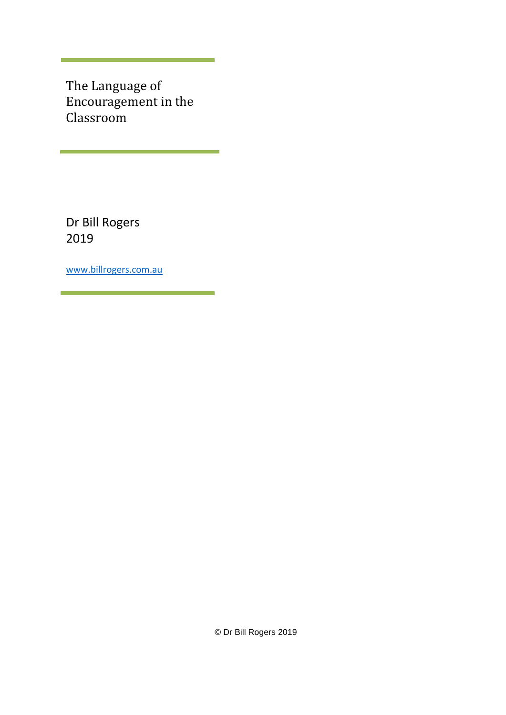The Language of Encouragement in the Classroom

Dr Bill Rogers 2019

[www.billrogers.com.au](http://www.billrogers.com.au/)

© Dr Bill Rogers 2019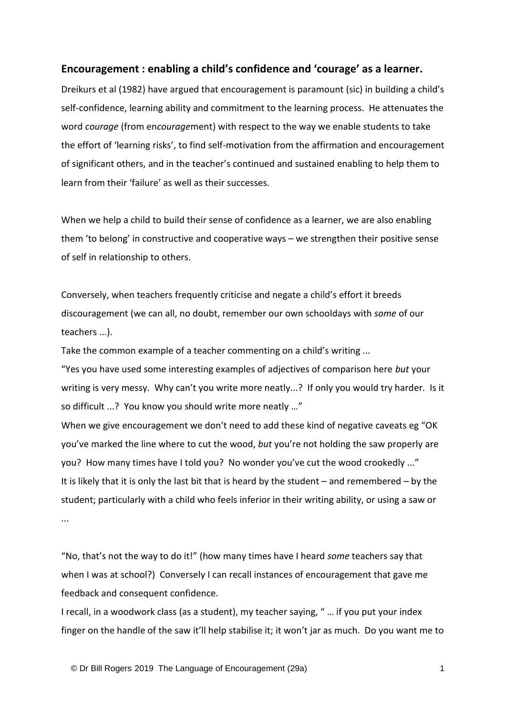## **Encouragement : enabling a child's confidence and 'courage' as a learner.**

Dreikurs et al (1982) have argued that encouragement is paramount (sic) in building a child's self-confidence, learning ability and commitment to the learning process. He attenuates the word *courage* (from en*courage*ment) with respect to the way we enable students to take the effort of 'learning risks', to find self-motivation from the affirmation and encouragement of significant others, and in the teacher's continued and sustained enabling to help them to learn from their 'failure' as well as their successes.

When we help a child to build their sense of confidence as a learner, we are also enabling them 'to belong' in constructive and cooperative ways – we strengthen their positive sense of self in relationship to others.

Conversely, when teachers frequently criticise and negate a child's effort it breeds discouragement (we can all, no doubt, remember our own schooldays with *some* of our teachers ...).

Take the common example of a teacher commenting on a child's writing ...

"Yes you have used some interesting examples of adjectives of comparison here *but* your writing is very messy. Why can't you write more neatly...? If only you would try harder. Is it so difficult ...? You know you should write more neatly …"

When we give encouragement we don't need to add these kind of negative caveats eg "OK you've marked the line where to cut the wood, *but* you're not holding the saw properly are you? How many times have I told you? No wonder you've cut the wood crookedly ..." It is likely that it is only the last bit that is heard by the student – and remembered – by the student; particularly with a child who feels inferior in their writing ability, or using a saw or ...

"No, that's not the way to do it!" (how many times have I heard *some* teachers say that when I was at school?) Conversely I can recall instances of encouragement that gave me feedback and consequent confidence.

I recall, in a woodwork class (as a student), my teacher saying, " … if you put your index finger on the handle of the saw it'll help stabilise it; it won't jar as much. Do you want me to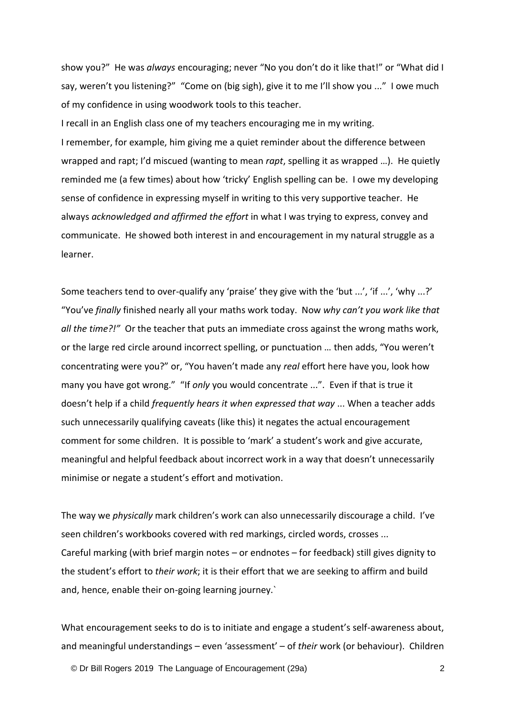show you?" He was *always* encouraging; never "No you don't do it like that!" or "What did I say, weren't you listening?" "Come on (big sigh), give it to me I'll show you ..." I owe much of my confidence in using woodwork tools to this teacher.

I recall in an English class one of my teachers encouraging me in my writing. I remember, for example, him giving me a quiet reminder about the difference between wrapped and rapt; I'd miscued (wanting to mean *rapt*, spelling it as wrapped …). He quietly reminded me (a few times) about how 'tricky' English spelling can be. I owe my developing sense of confidence in expressing myself in writing to this very supportive teacher. He always *acknowledged and affirmed the effort* in what I was trying to express, convey and communicate. He showed both interest in and encouragement in my natural struggle as a learner.

Some teachers tend to over-qualify any 'praise' they give with the 'but ...', 'if ...', 'why ...?' "You've *finally* finished nearly all your maths work today. Now *why can't you work like that all the time?!"* Or the teacher that puts an immediate cross against the wrong maths work, or the large red circle around incorrect spelling, or punctuation … then adds, "You weren't concentrating were you?" or, "You haven't made any *real* effort here have you, look how many you have got wrong." "If *only* you would concentrate ...". Even if that is true it doesn't help if a child *frequently hears it when expressed that way* ... When a teacher adds such unnecessarily qualifying caveats (like this) it negates the actual encouragement comment for some children. It is possible to 'mark' a student's work and give accurate, meaningful and helpful feedback about incorrect work in a way that doesn't unnecessarily minimise or negate a student's effort and motivation.

The way we *physically* mark children's work can also unnecessarily discourage a child. I've seen children's workbooks covered with red markings, circled words, crosses ... Careful marking (with brief margin notes – or endnotes – for feedback) still gives dignity to the student's effort to *their work*; it is their effort that we are seeking to affirm and build and, hence, enable their on-going learning journey.`

What encouragement seeks to do is to initiate and engage a student's self-awareness about, and meaningful understandings – even 'assessment' – of *their* work (or behaviour). Children

© Dr Bill Rogers 2019 The Language of Encouragement (29a) 2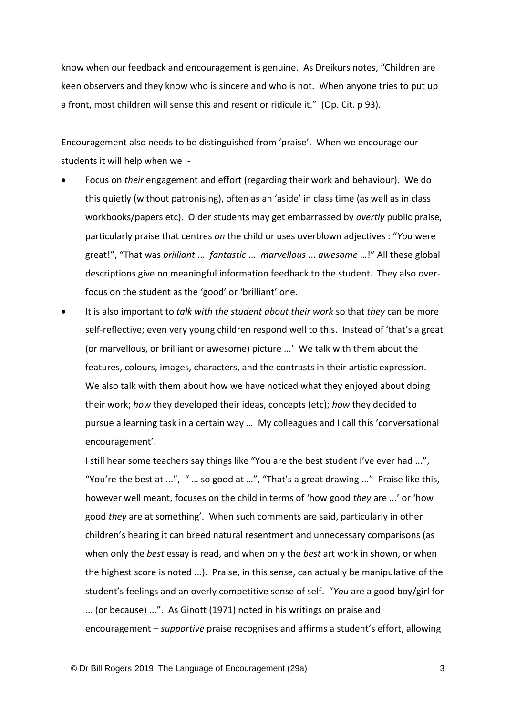know when our feedback and encouragement is genuine. As Dreikurs notes, "Children are keen observers and they know who is sincere and who is not. When anyone tries to put up a front, most children will sense this and resent or ridicule it." (Op. Cit. p 93).

Encouragement also needs to be distinguished from 'praise'. When we encourage our students it will help when we :-

- Focus on *their* engagement and effort (regarding their work and behaviour). We do this quietly (without patronising), often as an 'aside' in class time (as well as in class workbooks/papers etc). Older students may get embarrassed by *overtly* public praise, particularly praise that centres *on* the child or uses overblown adjectives : "*You* were great!", "That was *brilliant* ... *fantastic* ... *marvellous* ... *awesome* …!" All these global descriptions give no meaningful information feedback to the student. They also overfocus on the student as the 'good' or 'brilliant' one.
- It is also important to *talk with the student about their work* so that *they* can be more self-reflective; even very young children respond well to this. Instead of 'that's a great (or marvellous, or brilliant or awesome) picture ...' We talk with them about the features, colours, images, characters, and the contrasts in their artistic expression. We also talk with them about how we have noticed what they enjoyed about doing their work; *how* they developed their ideas, concepts (etc); *how* they decided to pursue a learning task in a certain way … My colleagues and I call this 'conversational encouragement'.

I still hear some teachers say things like "You are the best student I've ever had ...", "You're the best at ...", " … so good at …", "That's a great drawing ..." Praise like this, however well meant, focuses on the child in terms of 'how good *they* are ...' or 'how good *they* are at something'. When such comments are said, particularly in other children's hearing it can breed natural resentment and unnecessary comparisons (as when only the *best* essay is read, and when only the *best* art work in shown, or when the highest score is noted ...). Praise, in this sense, can actually be manipulative of the student's feelings and an overly competitive sense of self. "*You* are a good boy/girl for ... (or because) ...". As Ginott (1971) noted in his writings on praise and encouragement – *supportive* praise recognises and affirms a student's effort, allowing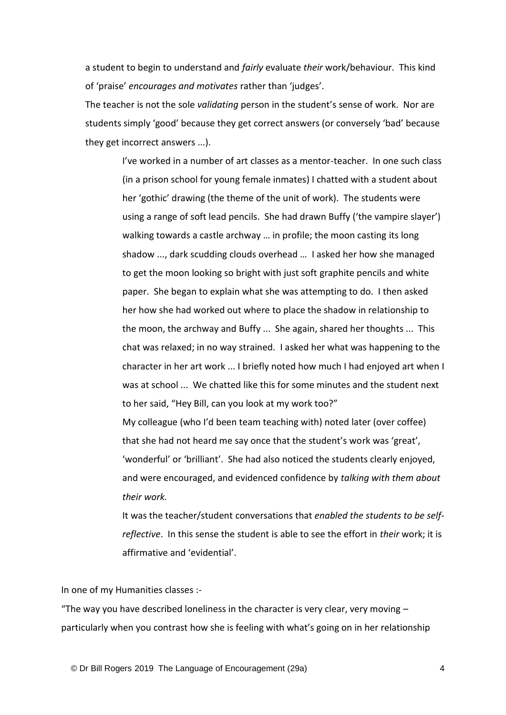a student to begin to understand and *fairly* evaluate *their* work/behaviour. This kind of 'praise' *encourages and motivates* rather than 'judges'.

The teacher is not the sole *validating* person in the student's sense of work. Nor are students simply 'good' because they get correct answers (or conversely 'bad' because they get incorrect answers ...).

> I've worked in a number of art classes as a mentor-teacher. In one such class (in a prison school for young female inmates) I chatted with a student about her 'gothic' drawing (the theme of the unit of work). The students were using a range of soft lead pencils. She had drawn Buffy ('the vampire slayer') walking towards a castle archway … in profile; the moon casting its long shadow ..., dark scudding clouds overhead … I asked her how she managed to get the moon looking so bright with just soft graphite pencils and white paper. She began to explain what she was attempting to do. I then asked her how she had worked out where to place the shadow in relationship to the moon, the archway and Buffy ... She again, shared her thoughts ... This chat was relaxed; in no way strained. I asked her what was happening to the character in her art work ... I briefly noted how much I had enjoyed art when I was at school ... We chatted like this for some minutes and the student next to her said, "Hey Bill, can you look at my work too?" My colleague (who I'd been team teaching with) noted later (over coffee)

that she had not heard me say once that the student's work was 'great', 'wonderful' or 'brilliant'. She had also noticed the students clearly enjoyed, and were encouraged, and evidenced confidence by *talking with them about their work.*

It was the teacher/student conversations that *enabled the students to be selfreflective*. In this sense the student is able to see the effort in *their* work; it is affirmative and 'evidential'.

In one of my Humanities classes :-

"The way you have described loneliness in the character is very clear, very moving  $$ particularly when you contrast how she is feeling with what's going on in her relationship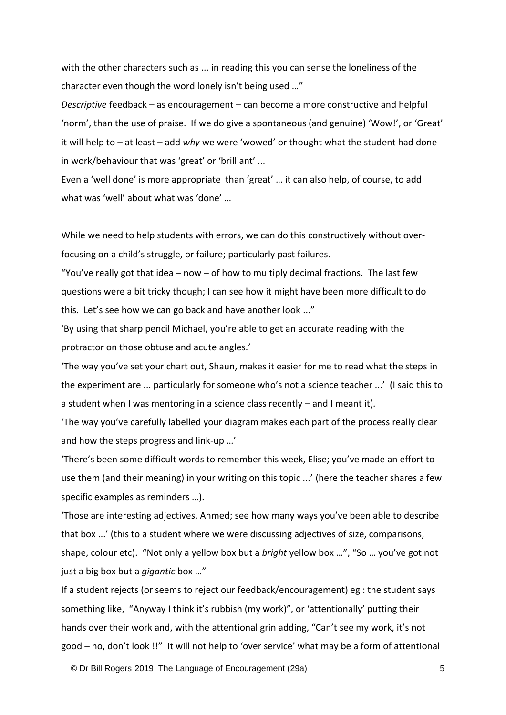with the other characters such as ... in reading this you can sense the loneliness of the character even though the word lonely isn't being used …"

*Descriptive* feedback – as encouragement – can become a more constructive and helpful 'norm', than the use of praise. If we do give a spontaneous (and genuine) 'Wow!', or 'Great' it will help to – at least – add *why* we were 'wowed' or thought what the student had done in work/behaviour that was 'great' or 'brilliant' ...

Even a 'well done' is more appropriate than 'great' … it can also help, of course, to add what was 'well' about what was 'done' …

While we need to help students with errors, we can do this constructively without overfocusing on a child's struggle, or failure; particularly past failures.

"You've really got that idea  $-$  now  $-$  of how to multiply decimal fractions. The last few questions were a bit tricky though; I can see how it might have been more difficult to do this. Let's see how we can go back and have another look ..."

'By using that sharp pencil Michael, you're able to get an accurate reading with the protractor on those obtuse and acute angles.'

'The way you've set your chart out, Shaun, makes it easier for me to read what the steps in the experiment are ... particularly for someone who's not a science teacher ...' (I said this to a student when I was mentoring in a science class recently – and I meant it).

'The way you've carefully labelled your diagram makes each part of the process really clear and how the steps progress and link-up …'

'There's been some difficult words to remember this week, Elise; you've made an effort to use them (and their meaning) in your writing on this topic ...' (here the teacher shares a few specific examples as reminders …).

'Those are interesting adjectives, Ahmed; see how many ways you've been able to describe that box ...' (this to a student where we were discussing adjectives of size, comparisons, shape, colour etc). "Not only a yellow box but a *bright* yellow box …", "So … you've got not just a big box but a *gigantic* box …"

If a student rejects (or seems to reject our feedback/encouragement) eg : the student says something like, "Anyway I think it's rubbish (my work)", or 'attentionally' putting their hands over their work and, with the attentional grin adding, "Can't see my work, it's not good – no, don't look !!" It will not help to 'over service' what may be a form of attentional

© Dr Bill Rogers 2019 The Language of Encouragement (29a) 5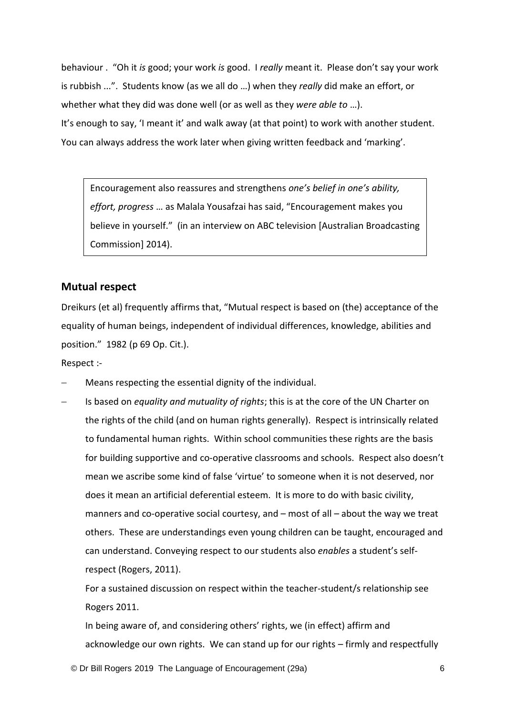behaviour . "Oh it *is* good; your work *is* good. I *really* meant it. Please don't say your work is rubbish ...". Students know (as we all do …) when they *really* did make an effort, or whether what they did was done well (or as well as they *were able to* …). It's enough to say, 'I meant it' and walk away (at that point) to work with another student. You can always address the work later when giving written feedback and 'marking'.

Encouragement also reassures and strengthens *one's belief in one's ability, effort, progress* … as Malala Yousafzai has said, "Encouragement makes you believe in yourself." (in an interview on ABC television [Australian Broadcasting Commission] 2014).

## **Mutual respect**

Dreikurs (et al) frequently affirms that, "Mutual respect is based on (the) acceptance of the equality of human beings, independent of individual differences, knowledge, abilities and position." 1982 (p 69 Op. Cit.).

Respect :-

- − Means respecting the essential dignity of the individual.
- − Is based on *equality and mutuality of rights*; this is at the core of the UN Charter on the rights of the child (and on human rights generally). Respect is intrinsically related to fundamental human rights. Within school communities these rights are the basis for building supportive and co-operative classrooms and schools. Respect also doesn't mean we ascribe some kind of false 'virtue' to someone when it is not deserved, nor does it mean an artificial deferential esteem. It is more to do with basic civility, manners and co-operative social courtesy, and – most of all – about the way we treat others. These are understandings even young children can be taught, encouraged and can understand. Conveying respect to our students also *enables* a student's selfrespect (Rogers, 2011).

For a sustained discussion on respect within the teacher-student/s relationship see Rogers 2011.

In being aware of, and considering others' rights, we (in effect) affirm and acknowledge our own rights. We can stand up for our rights – firmly and respectfully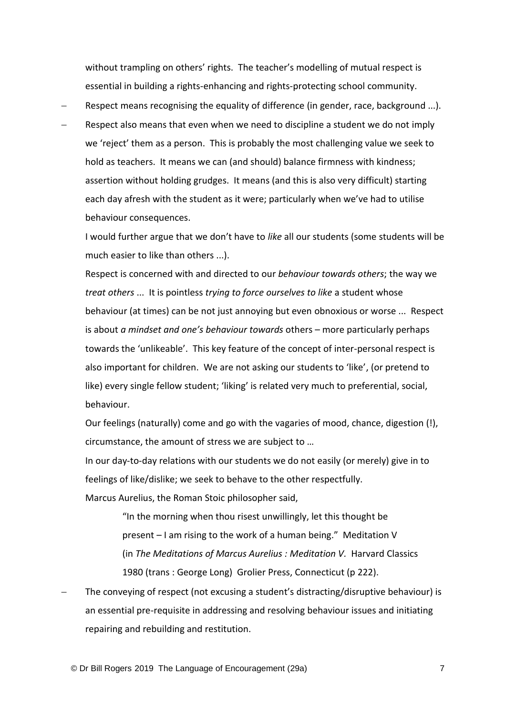without trampling on others' rights. The teacher's modelling of mutual respect is essential in building a rights-enhancing and rights-protecting school community.

- Respect means recognising the equality of difference (in gender, race, background ...).
- Respect also means that even when we need to discipline a student we do not imply we 'reject' them as a person. This is probably the most challenging value we seek to hold as teachers. It means we can (and should) balance firmness with kindness; assertion without holding grudges. It means (and this is also very difficult) starting each day afresh with the student as it were; particularly when we've had to utilise behaviour consequences.

I would further argue that we don't have to *like* all our students (some students will be much easier to like than others ...).

Respect is concerned with and directed to our *behaviour towards others*; the way we *treat others* ... It is pointless *trying to force ourselves to like* a student whose behaviour (at times) can be not just annoying but even obnoxious or worse ... Respect is about *a mindset and one's behaviour towards* others – more particularly perhaps towards the 'unlikeable'. This key feature of the concept of inter-personal respect is also important for children. We are not asking our students to 'like', (or pretend to like) every single fellow student; 'liking' is related very much to preferential, social, behaviour.

Our feelings (naturally) come and go with the vagaries of mood, chance, digestion (!), circumstance, the amount of stress we are subject to …

In our day-to-day relations with our students we do not easily (or merely) give in to feelings of like/dislike; we seek to behave to the other respectfully.

Marcus Aurelius, the Roman Stoic philosopher said,

"In the morning when thou risest unwillingly, let this thought be present – I am rising to the work of a human being." Meditation V (in *The Meditations of Marcus Aurelius : Meditation V.* Harvard Classics 1980 (trans : George Long) Grolier Press, Connecticut (p 222).

The conveying of respect (not excusing a student's distracting/disruptive behaviour) is an essential pre-requisite in addressing and resolving behaviour issues and initiating repairing and rebuilding and restitution.